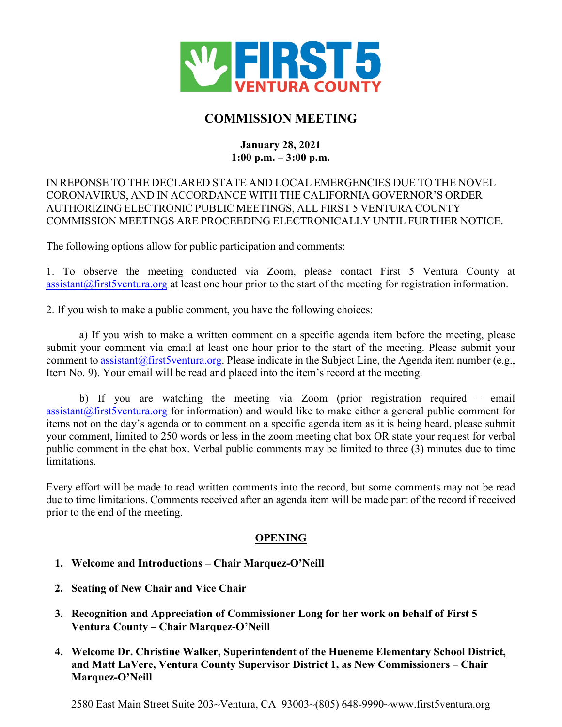

# **COMMISSION MEETING**

## **January 28, 2021 1:00 p.m. – 3:00 p.m.**

## IN REPONSE TO THE DECLARED STATE AND LOCAL EMERGENCIES DUE TO THE NOVEL CORONAVIRUS, AND IN ACCORDANCE WITH THE CALIFORNIA GOVERNOR'S ORDER AUTHORIZING ELECTRONIC PUBLIC MEETINGS, ALL FIRST 5 VENTURA COUNTY COMMISSION MEETINGS ARE PROCEEDING ELECTRONICALLY UNTIL FURTHER NOTICE.

The following options allow for public participation and comments:

1. To observe the meeting conducted via Zoom, please contact First 5 Ventura County at  $\alpha$  assistant  $\alpha$  first 5 ventura, org at least one hour prior to the start of the meeting for registration information.

2. If you wish to make a public comment, you have the following choices:

a) If you wish to make a written comment on a specific agenda item before the meeting, please submit your comment via email at least one hour prior to the start of the meeting. Please submit your comment t[o assistant@first5ventura.org.](mailto:assistant@first5ventura.org) Please indicate in the Subject Line, the Agenda item number (e.g., Item No. 9). Your email will be read and placed into the item's record at the meeting.

b) If you are watching the meeting via Zoom (prior registration required – email  $\alpha$  [assistant@first5ventura.org](mailto:assistant@first5ventura.org) for information) and would like to make either a general public comment for items not on the day's agenda or to comment on a specific agenda item as it is being heard, please submit your comment, limited to 250 words or less in the zoom meeting chat box OR state your request for verbal public comment in the chat box. Verbal public comments may be limited to three (3) minutes due to time limitations.

Every effort will be made to read written comments into the record, but some comments may not be read due to time limitations. Comments received after an agenda item will be made part of the record if received prior to the end of the meeting.

## **OPENING**

- **1. Welcome and Introductions – Chair Marquez-O'Neill**
- **2. Seating of New Chair and Vice Chair**
- **3. Recognition and Appreciation of Commissioner Long for her work on behalf of First 5 Ventura County – Chair Marquez-O'Neill**
- **4. Welcome Dr. Christine Walker, Superintendent of the Hueneme Elementary School District, and Matt LaVere, Ventura County Supervisor District 1, as New Commissioners – Chair Marquez-O'Neill**

2580 East Main Street Suite 203~Ventura, CA 93003~(805) 648-9990~www.first5ventura.org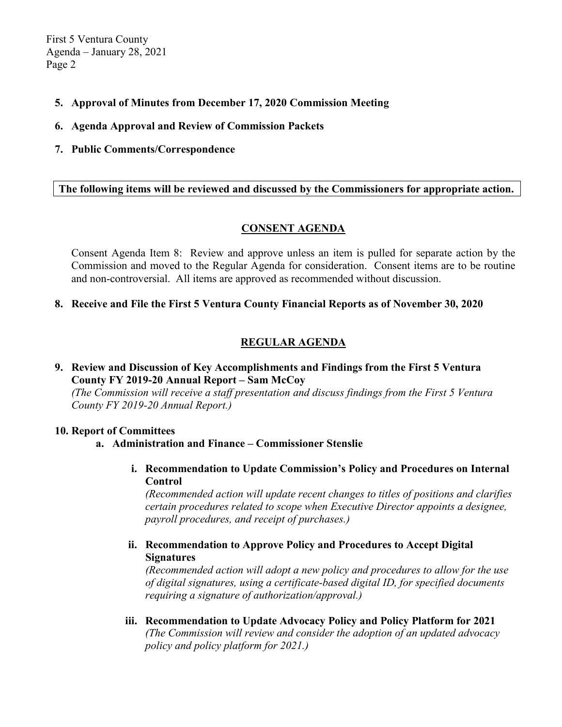First 5 Ventura County Agenda – January 28, 2021 Page 2

- **5. Approval of Minutes from December 17, 2020 Commission Meeting**
- **6. Agenda Approval and Review of Commission Packets**
- **7. Public Comments/Correspondence**

## **The following items will be reviewed and discussed by the Commissioners for appropriate action.**

## **CONSENT AGENDA**

Consent Agenda Item 8: Review and approve unless an item is pulled for separate action by the Commission and moved to the Regular Agenda for consideration. Consent items are to be routine and non-controversial. All items are approved as recommended without discussion.

#### **8. Receive and File the First 5 Ventura County Financial Reports as of November 30, 2020**

## **REGULAR AGENDA**

## **9. Review and Discussion of Key Accomplishments and Findings from the First 5 Ventura County FY 2019-20 Annual Report – Sam McCoy**

*(The Commission will receive a staff presentation and discuss findings from the First 5 Ventura County FY 2019-20 Annual Report.)*

#### **10. Report of Committees**

**a. Administration and Finance – Commissioner Stenslie**

**i. Recommendation to Update Commission's Policy and Procedures on Internal Control** 

*(Recommended action will update recent changes to titles of positions and clarifies certain procedures related to scope when Executive Director appoints a designee, payroll procedures, and receipt of purchases.)*

## **ii. Recommendation to Approve Policy and Procedures to Accept Digital Signatures**

*(Recommended action will adopt a new policy and procedures to allow for the use of digital signatures, using a certificate-based digital ID, for specified documents requiring a signature of authorization/approval.)*

**iii. Recommendation to Update Advocacy Policy and Policy Platform for 2021**  *(The Commission will review and consider the adoption of an updated advocacy policy and policy platform for 2021.)*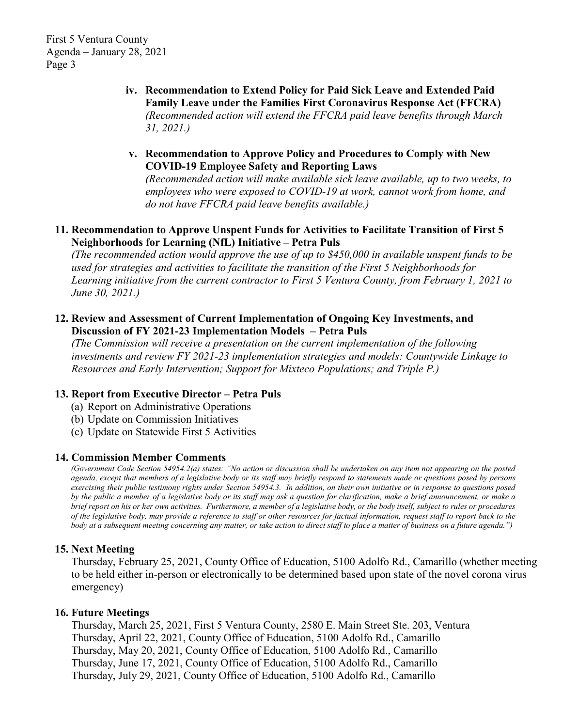First 5 Ventura County Agenda – January 28, 2021 Page 3

- **iv. Recommendation to Extend Policy for Paid Sick Leave and Extended Paid Family Leave under the Families First Coronavirus Response Act (FFCRA)**  *(Recommended action will extend the FFCRA paid leave benefits through March 31, 2021.)*
- **v. Recommendation to Approve Policy and Procedures to Comply with New COVID-19 Employee Safety and Reporting Laws**

*(Recommended action will make available sick leave available, up to two weeks, to employees who were exposed to COVID-19 at work, cannot work from home, and do not have FFCRA paid leave benefits available.)*

#### **11. Recommendation to Approve Unspent Funds for Activities to Facilitate Transition of First 5 Neighborhoods for Learning (NfL) Initiative – Petra Puls**

*(The recommended action would approve the use of up to \$450,000 in available unspent funds to be used for strategies and activities to facilitate the transition of the First 5 Neighborhoods for Learning initiative from the current contractor to First 5 Ventura County, from February 1, 2021 to June 30, 2021.)*

### **12. Review and Assessment of Current Implementation of Ongoing Key Investments, and Discussion of FY 2021-23 Implementation Models – Petra Puls**

*(The Commission will receive a presentation on the current implementation of the following investments and review FY 2021-23 implementation strategies and models: Countywide Linkage to Resources and Early Intervention; Support for Mixteco Populations; and Triple P.)*

#### **13. Report from Executive Director – Petra Puls**

- (a) Report on Administrative Operations
- (b) Update on Commission Initiatives
- (c) Update on Statewide First 5 Activities

#### **14. Commission Member Comments**

*(Government Code Section 54954.2(a) states: "No action or discussion shall be undertaken on any item not appearing on the posted agenda, except that members of a legislative body or its staff may briefly respond to statements made or questions posed by persons exercising their public testimony rights under Section 54954.3. In addition, on their own initiative or in response to questions posed by the public a member of a legislative body or its staff may ask a question for clarification, make a brief announcement, or make a brief report on his or her own activities. Furthermore, a member of a legislative body, or the body itself, subject to rules or procedures of the legislative body, may provide a reference to staff or other resources for factual information, request staff to report back to the body at a subsequent meeting concerning any matter, or take action to direct staff to place a matter of business on a future agenda.")*

#### **15. Next Meeting**

Thursday, February 25, 2021, County Office of Education, 5100 Adolfo Rd., Camarillo (whether meeting to be held either in-person or electronically to be determined based upon state of the novel corona virus emergency)

#### **16. Future Meetings**

Thursday, March 25, 2021, First 5 Ventura County, 2580 E. Main Street Ste. 203, Ventura Thursday, April 22, 2021, County Office of Education, 5100 Adolfo Rd., Camarillo Thursday, May 20, 2021, County Office of Education, 5100 Adolfo Rd., Camarillo Thursday, June 17, 2021, County Office of Education, 5100 Adolfo Rd., Camarillo Thursday, July 29, 2021, County Office of Education, 5100 Adolfo Rd., Camarillo